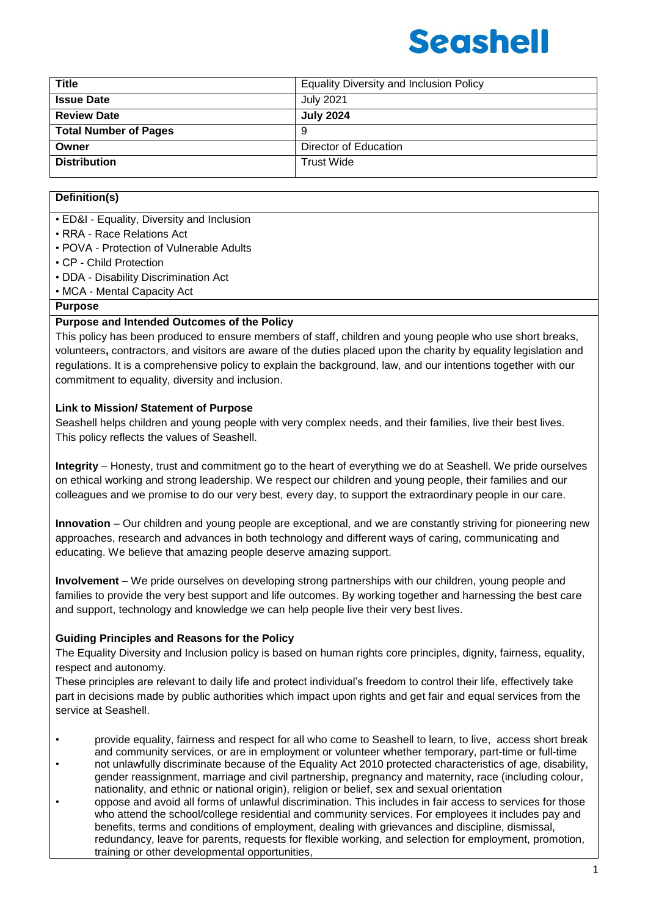| <b>Title</b>                 | <b>Equality Diversity and Inclusion Policy</b> |  |
|------------------------------|------------------------------------------------|--|
| <b>Issue Date</b>            | <b>July 2021</b>                               |  |
| <b>Review Date</b>           | <b>July 2024</b>                               |  |
| <b>Total Number of Pages</b> | 9                                              |  |
| Owner                        | Director of Education                          |  |
| <b>Distribution</b>          | <b>Trust Wide</b>                              |  |

### **Definition(s)**

• ED&I - Equality, Diversity and Inclusion

- RRA Race Relations Act
- POVA Protection of Vulnerable Adults
- CP Child Protection
- DDA Disability Discrimination Act
- MCA Mental Capacity Act

#### **Purpose**

#### **Purpose and Intended Outcomes of the Policy**

This policy has been produced to ensure members of staff, children and young people who use short breaks, volunteers**,** contractors, and visitors are aware of the duties placed upon the charity by equality legislation and regulations. It is a comprehensive policy to explain the background, law, and our intentions together with our commitment to equality, diversity and inclusion.

#### **Link to Mission/ Statement of Purpose**

Seashell helps children and young people with very complex needs, and their families, live their best lives. This policy reflects the values of Seashell.

**Integrity** – Honesty, trust and commitment go to the heart of everything we do at Seashell. We pride ourselves on ethical working and strong leadership. We respect our children and young people, their families and our colleagues and we promise to do our very best, every day, to support the extraordinary people in our care.

**Innovation** – Our children and young people are exceptional, and we are constantly striving for pioneering new approaches, research and advances in both technology and different ways of caring, communicating and educating. We believe that amazing people deserve amazing support.

**Involvement** – We pride ourselves on developing strong partnerships with our children, young people and families to provide the very best support and life outcomes. By working together and harnessing the best care and support, technology and knowledge we can help people live their very best lives.

#### **Guiding Principles and Reasons for the Policy**

The Equality Diversity and Inclusion policy is based on human rights core principles, dignity, fairness, equality, respect and autonomy.

These principles are relevant to daily life and protect individual's freedom to control their life, effectively take part in decisions made by public authorities which impact upon rights and get fair and equal services from the service at Seashell.

- provide equality, fairness and respect for all who come to Seashell to learn, to live, access short break and community services, or are in employment or volunteer whether temporary, part-time or full-time
- not unlawfully discriminate because of the Equality Act 2010 protected characteristics of age, disability, gender reassignment, marriage and civil partnership, pregnancy and maternity, race (including colour, nationality, and ethnic or national origin), religion or belief, sex and sexual orientation
- oppose and avoid all forms of unlawful discrimination. This includes in fair access to services for those who attend the school/college residential and community services. For employees it includes pay and benefits, terms and conditions of employment, dealing with grievances and discipline, dismissal, redundancy, leave for parents, requests for flexible working, and selection for employment, promotion, training or other developmental opportunities,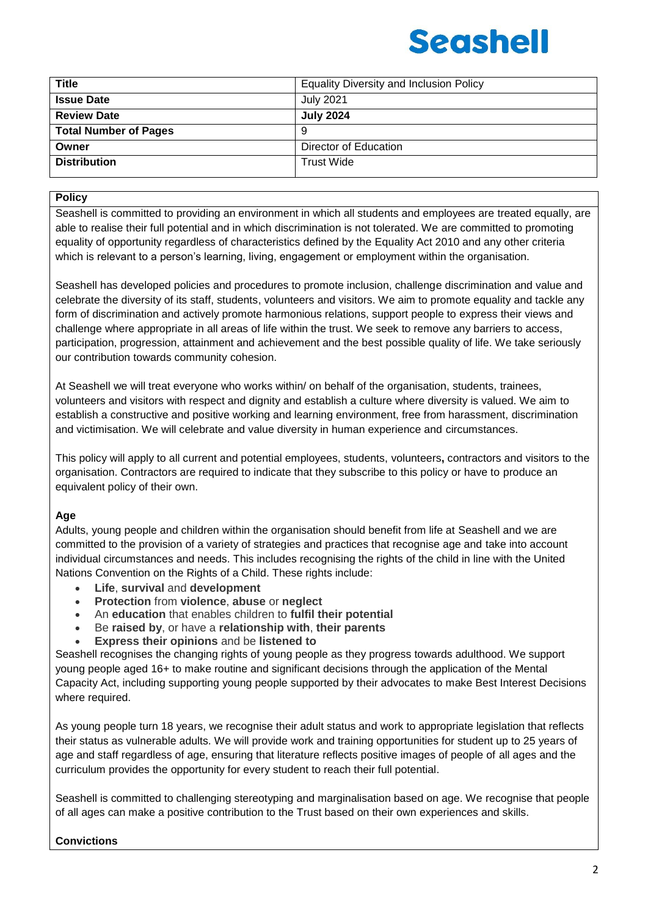| <b>Title</b>                 | <b>Equality Diversity and Inclusion Policy</b> |  |
|------------------------------|------------------------------------------------|--|
| <b>Issue Date</b>            | <b>July 2021</b>                               |  |
| <b>Review Date</b>           | <b>July 2024</b>                               |  |
| <b>Total Number of Pages</b> | -9                                             |  |
| Owner                        | Director of Education                          |  |
| <b>Distribution</b>          | <b>Trust Wide</b>                              |  |
|                              |                                                |  |

#### **Policy**

Seashell is committed to providing an environment in which all students and employees are treated equally, are able to realise their full potential and in which discrimination is not tolerated. We are committed to promoting equality of opportunity regardless of characteristics defined by the Equality Act 2010 and any other criteria which is relevant to a person's learning, living, engagement or employment within the organisation.

Seashell has developed policies and procedures to promote inclusion, challenge discrimination and value and celebrate the diversity of its staff, students, volunteers and visitors. We aim to promote equality and tackle any form of discrimination and actively promote harmonious relations, support people to express their views and challenge where appropriate in all areas of life within the trust. We seek to remove any barriers to access, participation, progression, attainment and achievement and the best possible quality of life. We take seriously our contribution towards community cohesion.

At Seashell we will treat everyone who works within/ on behalf of the organisation, students, trainees, volunteers and visitors with respect and dignity and establish a culture where diversity is valued. We aim to establish a constructive and positive working and learning environment, free from harassment, discrimination and victimisation. We will celebrate and value diversity in human experience and circumstances.

This policy will apply to all current and potential employees, students, volunteers**,** contractors and visitors to the organisation. Contractors are required to indicate that they subscribe to this policy or have to produce an equivalent policy of their own.

#### **Age**

Adults, young people and children within the organisation should benefit from life at Seashell and we are committed to the provision of a variety of strategies and practices that recognise age and take into account individual circumstances and needs. This includes recognising the rights of the child in line with the United Nations Convention on the Rights of a Child. These rights include:

- **Life**, **survival** and **development**
- **Protection** from **violence**, **abuse** or **neglect**
- An **education** that enables children to **fulfil their potential**
- Be **raised by**, or have a **relationship with**, **their parents**
- **Express their opinions** and be **listened to**

Seashell recognises the changing rights of young people as they progress towards adulthood. We support young people aged 16+ to make routine and significant decisions through the application of the Mental Capacity Act, including supporting young people supported by their advocates to make Best Interest Decisions where required.

As young people turn 18 years, we recognise their adult status and work to appropriate legislation that reflects their status as vulnerable adults. We will provide work and training opportunities for student up to 25 years of age and staff regardless of age, ensuring that literature reflects positive images of people of all ages and the curriculum provides the opportunity for every student to reach their full potential.

Seashell is committed to challenging stereotyping and marginalisation based on age. We recognise that people of all ages can make a positive contribution to the Trust based on their own experiences and skills.

#### **Convictions**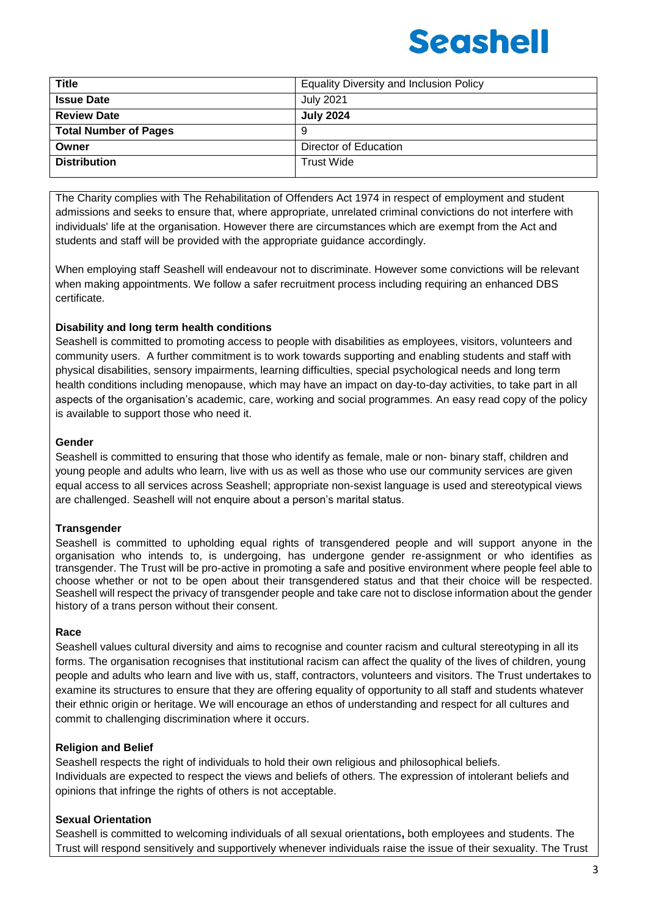| <b>July 2021</b>      |
|-----------------------|
|                       |
| <b>July 2024</b>      |
|                       |
| Director of Education |
| <b>Trust Wide</b>     |
|                       |

The Charity complies with The Rehabilitation of Offenders Act 1974 in respect of employment and student admissions and seeks to ensure that, where appropriate, unrelated criminal convictions do not interfere with individuals' life at the organisation. However there are circumstances which are exempt from the Act and students and staff will be provided with the appropriate guidance accordingly.

When employing staff Seashell will endeavour not to discriminate. However some convictions will be relevant when making appointments. We follow a safer recruitment process including requiring an enhanced DBS certificate.

#### **Disability and long term health conditions**

Seashell is committed to promoting access to people with disabilities as employees, visitors, volunteers and community users. A further commitment is to work towards supporting and enabling students and staff with physical disabilities, sensory impairments, learning difficulties, special psychological needs and long term health conditions including menopause, which may have an impact on day-to-day activities, to take part in all aspects of the organisation's academic, care, working and social programmes. An easy read copy of the policy is available to support those who need it.

#### **Gender**

Seashell is committed to ensuring that those who identify as female, male or non- binary staff, children and young people and adults who learn, live with us as well as those who use our community services are given equal access to all services across Seashell; appropriate non-sexist language is used and stereotypical views are challenged. Seashell will not enquire about a person's marital status.

#### **Transgender**

Seashell is committed to upholding equal rights of transgendered people and will support anyone in the organisation who intends to, is undergoing, has undergone gender re-assignment or who identifies as transgender. The Trust will be pro-active in promoting a safe and positive environment where people feel able to choose whether or not to be open about their transgendered status and that their choice will be respected. Seashell will respect the privacy of transgender people and take care not to disclose information about the gender history of a trans person without their consent.

#### **Race**

Seashell values cultural diversity and aims to recognise and counter racism and cultural stereotyping in all its forms. The organisation recognises that institutional racism can affect the quality of the lives of children, young people and adults who learn and live with us, staff, contractors, volunteers and visitors. The Trust undertakes to examine its structures to ensure that they are offering equality of opportunity to all staff and students whatever their ethnic origin or heritage. We will encourage an ethos of understanding and respect for all cultures and commit to challenging discrimination where it occurs.

#### **Religion and Belief**

Seashell respects the right of individuals to hold their own religious and philosophical beliefs. Individuals are expected to respect the views and beliefs of others. The expression of intolerant beliefs and opinions that infringe the rights of others is not acceptable.

### **Sexual Orientation**

Seashell is committed to welcoming individuals of all sexual orientations**,** both employees and students. The Trust will respond sensitively and supportively whenever individuals raise the issue of their sexuality. The Trust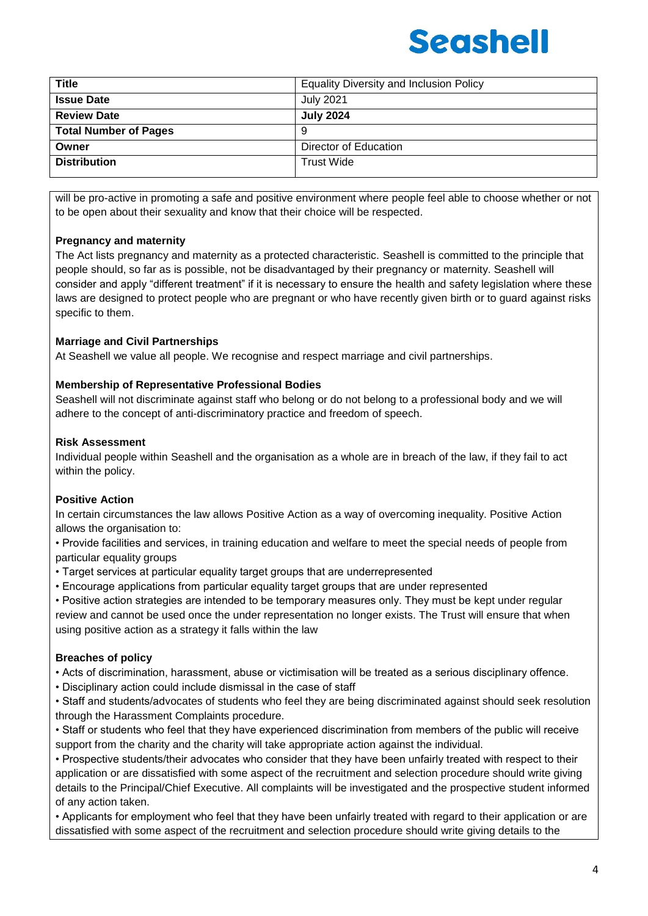| <b>Title</b>                 | <b>Equality Diversity and Inclusion Policy</b> |  |
|------------------------------|------------------------------------------------|--|
| <b>Issue Date</b>            | <b>July 2021</b>                               |  |
| <b>Review Date</b>           | <b>July 2024</b>                               |  |
| <b>Total Number of Pages</b> | 9                                              |  |
| Owner                        | Director of Education                          |  |
| <b>Distribution</b>          | <b>Trust Wide</b>                              |  |

will be pro-active in promoting a safe and positive environment where people feel able to choose whether or not to be open about their sexuality and know that their choice will be respected.

### **Pregnancy and maternity**

The Act lists pregnancy and maternity as a protected characteristic. Seashell is committed to the principle that people should, so far as is possible, not be disadvantaged by their pregnancy or maternity. Seashell will consider and apply "different treatment" if it is necessary to ensure the health and safety legislation where these laws are designed to protect people who are pregnant or who have recently given birth or to guard against risks specific to them.

### **Marriage and Civil Partnerships**

At Seashell we value all people. We recognise and respect marriage and civil partnerships.

#### **Membership of Representative Professional Bodies**

Seashell will not discriminate against staff who belong or do not belong to a professional body and we will adhere to the concept of anti-discriminatory practice and freedom of speech.

#### **Risk Assessment**

Individual people within Seashell and the organisation as a whole are in breach of the law, if they fail to act within the policy.

#### **Positive Action**

In certain circumstances the law allows Positive Action as a way of overcoming inequality. Positive Action allows the organisation to:

• Provide facilities and services, in training education and welfare to meet the special needs of people from particular equality groups

- Target services at particular equality target groups that are underrepresented
- Encourage applications from particular equality target groups that are under represented
- Positive action strategies are intended to be temporary measures only. They must be kept under regular review and cannot be used once the under representation no longer exists. The Trust will ensure that when using positive action as a strategy it falls within the law

#### **Breaches of policy**

• Acts of discrimination, harassment, abuse or victimisation will be treated as a serious disciplinary offence.

• Disciplinary action could include dismissal in the case of staff

• Staff and students/advocates of students who feel they are being discriminated against should seek resolution through the Harassment Complaints procedure.

• Staff or students who feel that they have experienced discrimination from members of the public will receive support from the charity and the charity will take appropriate action against the individual.

• Prospective students/their advocates who consider that they have been unfairly treated with respect to their application or are dissatisfied with some aspect of the recruitment and selection procedure should write giving details to the Principal/Chief Executive. All complaints will be investigated and the prospective student informed of any action taken.

• Applicants for employment who feel that they have been unfairly treated with regard to their application or are dissatisfied with some aspect of the recruitment and selection procedure should write giving details to the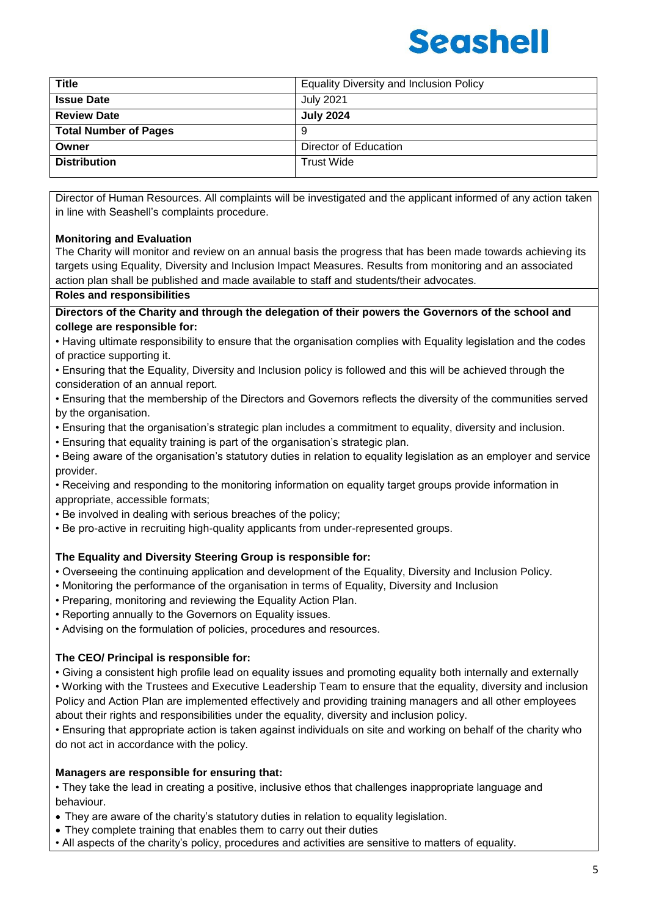| <b>Title</b>                 | <b>Equality Diversity and Inclusion Policy</b> |  |
|------------------------------|------------------------------------------------|--|
| <b>Issue Date</b>            | <b>July 2021</b>                               |  |
| <b>Review Date</b>           | <b>July 2024</b>                               |  |
| <b>Total Number of Pages</b> | 9                                              |  |
| Owner                        | Director of Education                          |  |
| <b>Distribution</b>          | <b>Trust Wide</b>                              |  |

Director of Human Resources. All complaints will be investigated and the applicant informed of any action taken in line with Seashell's complaints procedure.

#### **Monitoring and Evaluation**

The Charity will monitor and review on an annual basis the progress that has been made towards achieving its targets using Equality, Diversity and Inclusion Impact Measures. Results from monitoring and an associated action plan shall be published and made available to staff and students/their advocates.

#### **Roles and responsibilities**

**Directors of the Charity and through the delegation of their powers the Governors of the school and college are responsible for:**

- Having ultimate responsibility to ensure that the organisation complies with Equality legislation and the codes of practice supporting it.
- Ensuring that the Equality, Diversity and Inclusion policy is followed and this will be achieved through the consideration of an annual report.
- Ensuring that the membership of the Directors and Governors reflects the diversity of the communities served by the organisation.
- Ensuring that the organisation's strategic plan includes a commitment to equality, diversity and inclusion.
- Ensuring that equality training is part of the organisation's strategic plan.
- Being aware of the organisation's statutory duties in relation to equality legislation as an employer and service provider.
- Receiving and responding to the monitoring information on equality target groups provide information in appropriate, accessible formats;
- Be involved in dealing with serious breaches of the policy;
- Be pro-active in recruiting high-quality applicants from under-represented groups.

#### **The Equality and Diversity Steering Group is responsible for:**

- Overseeing the continuing application and development of the Equality, Diversity and Inclusion Policy.
- Monitoring the performance of the organisation in terms of Equality, Diversity and Inclusion
- Preparing, monitoring and reviewing the Equality Action Plan.
- Reporting annually to the Governors on Equality issues.
- Advising on the formulation of policies, procedures and resources.

#### **The CEO/ Principal is responsible for:**

• Giving a consistent high profile lead on equality issues and promoting equality both internally and externally • Working with the Trustees and Executive Leadership Team to ensure that the equality, diversity and inclusion Policy and Action Plan are implemented effectively and providing training managers and all other employees about their rights and responsibilities under the equality, diversity and inclusion policy.

• Ensuring that appropriate action is taken against individuals on site and working on behalf of the charity who do not act in accordance with the policy.

#### **Managers are responsible for ensuring that:**

• They take the lead in creating a positive, inclusive ethos that challenges inappropriate language and behaviour.

- They are aware of the charity's statutory duties in relation to equality legislation.
- They complete training that enables them to carry out their duties
- All aspects of the charity's policy, procedures and activities are sensitive to matters of equality.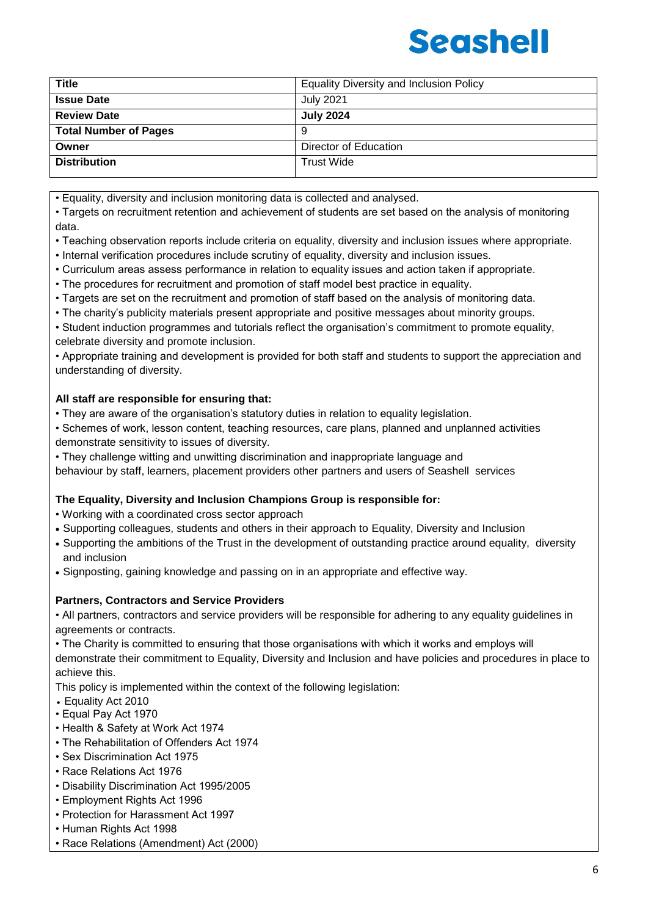| <b>Title</b>                 | <b>Equality Diversity and Inclusion Policy</b> |  |
|------------------------------|------------------------------------------------|--|
| <b>Issue Date</b>            | <b>July 2021</b>                               |  |
| <b>Review Date</b>           | <b>July 2024</b>                               |  |
| <b>Total Number of Pages</b> | 9                                              |  |
| Owner                        | Director of Education                          |  |
| <b>Distribution</b>          | <b>Trust Wide</b>                              |  |

• Equality, diversity and inclusion monitoring data is collected and analysed.

• Targets on recruitment retention and achievement of students are set based on the analysis of monitoring data.

• Teaching observation reports include criteria on equality, diversity and inclusion issues where appropriate.

• Internal verification procedures include scrutiny of equality, diversity and inclusion issues.

• Curriculum areas assess performance in relation to equality issues and action taken if appropriate.

• The procedures for recruitment and promotion of staff model best practice in equality.

• Targets are set on the recruitment and promotion of staff based on the analysis of monitoring data.

• The charity's publicity materials present appropriate and positive messages about minority groups.

• Student induction programmes and tutorials reflect the organisation's commitment to promote equality, celebrate diversity and promote inclusion.

• Appropriate training and development is provided for both staff and students to support the appreciation and understanding of diversity.

#### **All staff are responsible for ensuring that:**

• They are aware of the organisation's statutory duties in relation to equality legislation.

• Schemes of work, lesson content, teaching resources, care plans, planned and unplanned activities demonstrate sensitivity to issues of diversity.

• They challenge witting and unwitting discrimination and inappropriate language and

behaviour by staff, learners, placement providers other partners and users of Seashell services

#### **The Equality, Diversity and Inclusion Champions Group is responsible for:**

• Working with a coordinated cross sector approach

- Supporting colleagues, students and others in their approach to Equality, Diversity and Inclusion
- Supporting the ambitions of the Trust in the development of outstanding practice around equality, diversity and inclusion
- Signposting, gaining knowledge and passing on in an appropriate and effective way.

#### **Partners, Contractors and Service Providers**

• All partners, contractors and service providers will be responsible for adhering to any equality guidelines in agreements or contracts.

• The Charity is committed to ensuring that those organisations with which it works and employs will demonstrate their commitment to Equality, Diversity and Inclusion and have policies and procedures in place to achieve this.

This policy is implemented within the context of the following legislation:

- Equality Act 2010
- Equal Pay Act 1970
- Health & Safety at Work Act 1974
- The Rehabilitation of Offenders Act 1974
- Sex Discrimination Act 1975
- Race Relations Act 1976
- Disability Discrimination Act 1995/2005
- Employment Rights Act 1996
- Protection for Harassment Act 1997
- Human Rights Act 1998
- Race Relations (Amendment) Act (2000)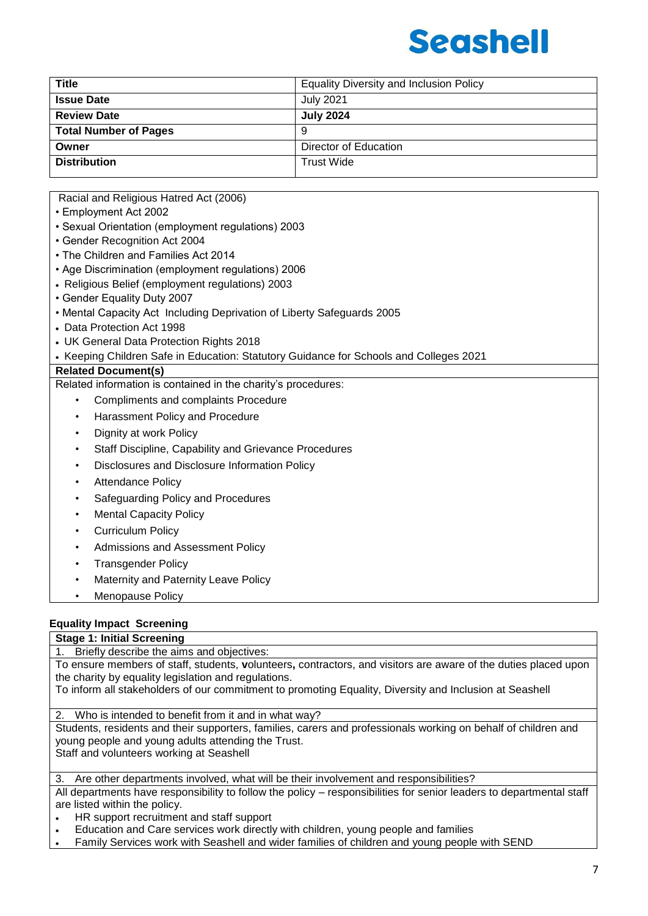

| <b>Title</b>                 | <b>Equality Diversity and Inclusion Policy</b> |  |
|------------------------------|------------------------------------------------|--|
| <b>Issue Date</b>            | <b>July 2021</b>                               |  |
| <b>Review Date</b>           | <b>July 2024</b>                               |  |
| <b>Total Number of Pages</b> | 9                                              |  |
| Owner                        | Director of Education                          |  |
| <b>Distribution</b>          | <b>Trust Wide</b>                              |  |

Racial and Religious Hatred Act (2006)

- Employment Act 2002
- Sexual Orientation (employment regulations) 2003
- Gender Recognition Act 2004
- The Children and Families Act 2014
- Age Discrimination (employment regulations) 2006
- Religious Belief (employment regulations) 2003
- Gender Equality Duty 2007
- Mental Capacity Act Including Deprivation of Liberty Safeguards 2005
- Data Protection Act 1998
- UK General Data Protection Rights 2018
- Keeping Children Safe in Education: Statutory Guidance for Schools and Colleges 2021

#### **Related Document(s)**

Related information is contained in the charity's procedures:

- Compliments and complaints Procedure
- Harassment Policy and Procedure
- Dignity at work Policy
- Staff Discipline, Capability and Grievance Procedures
- Disclosures and Disclosure Information Policy
- **Attendance Policy**
- Safeguarding Policy and Procedures
- **Mental Capacity Policy**
- Curriculum Policy
- Admissions and Assessment Policy
- Transgender Policy
- **Maternity and Paternity Leave Policy**
- Menopause Policy

#### **Equality Impact Screening**

**Stage 1: Initial Screening**

Briefly describe the aims and objectives:

To ensure members of staff, students, **v**olunteers**,** contractors, and visitors are aware of the duties placed upon the charity by equality legislation and regulations.

To inform all stakeholders of our commitment to promoting Equality, Diversity and Inclusion at Seashell

2. Who is intended to benefit from it and in what way?

Students, residents and their supporters, families, carers and professionals working on behalf of children and young people and young adults attending the Trust. Staff and volunteers working at Seashell

Are other departments involved, what will be their involvement and responsibilities?

All departments have responsibility to follow the policy – responsibilities for senior leaders to departmental staff are listed within the policy.

- HR support recruitment and staff support
- Education and Care services work directly with children, young people and families
- Family Services work with Seashell and wider families of children and young people with SEND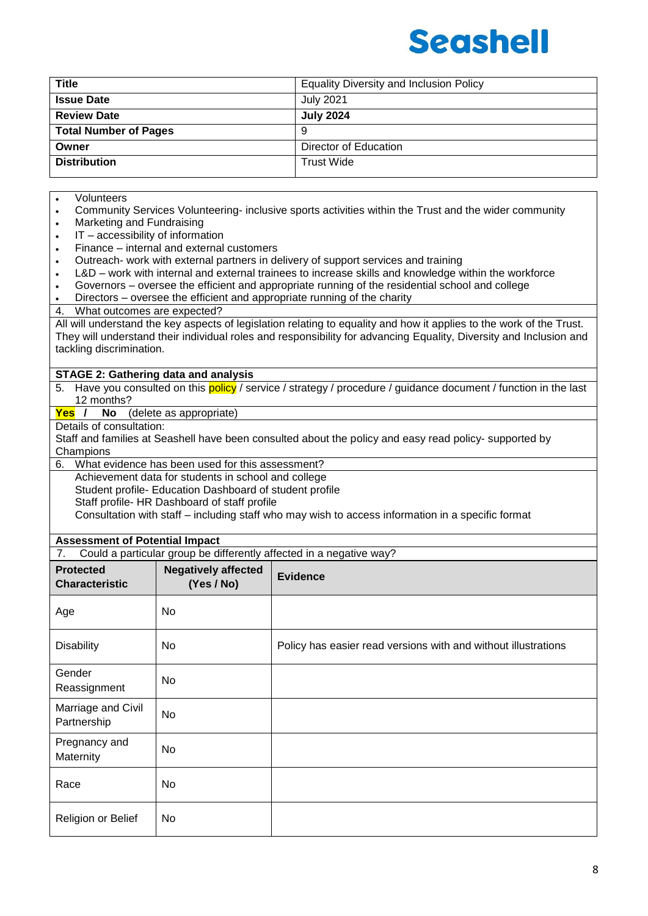

| <b>Title</b>                 | <b>Equality Diversity and Inclusion Policy</b> |  |
|------------------------------|------------------------------------------------|--|
| <b>Issue Date</b>            | <b>July 2021</b>                               |  |
| <b>Review Date</b>           | <b>July 2024</b>                               |  |
| <b>Total Number of Pages</b> | 9                                              |  |
| Owner                        | Director of Education                          |  |
| <b>Distribution</b>          | <b>Trust Wide</b>                              |  |

#### Volunteers

- Community Services Volunteering- inclusive sports activities within the Trust and the wider community
- Marketing and Fundraising
- $\cdot$  IT accessibility of information
- Finance internal and external customers
- Outreach- work with external partners in delivery of support services and training
- L&D work with internal and external trainees to increase skills and knowledge within the workforce
- Governors oversee the efficient and appropriate running of the residential school and college
- Directors oversee the efficient and appropriate running of the charity
- 4. What outcomes are expected?

All will understand the key aspects of legislation relating to equality and how it applies to the work of the Trust. They will understand their individual roles and responsibility for advancing Equality, Diversity and Inclusion and tackling discrimination.

#### **STAGE 2: Gathering data and analysis**

5. Have you consulted on this policy / service / strategy / procedure / guidance document / function in the last 12 months?

**Yes / No** (delete as appropriate)

Details of consultation:

Staff and families at Seashell have been consulted about the policy and easy read policy- supported by **Champions** 

6. What evidence has been used for this assessment?

Achievement data for students in school and college

Student profile- Education Dashboard of student profile

Staff profile- HR Dashboard of staff profile

Consultation with staff – including staff who may wish to access information in a specific format

### **Assessment of Potential Impact**

| <b>Protected</b><br><b>Characteristic</b> | <b>Negatively affected</b><br>(Yes / No) | <b>Evidence</b>                                                |
|-------------------------------------------|------------------------------------------|----------------------------------------------------------------|
| Age                                       | No.                                      |                                                                |
| <b>Disability</b>                         | No.                                      | Policy has easier read versions with and without illustrations |
| Gender<br>Reassignment                    | <b>No</b>                                |                                                                |
| Marriage and Civil<br>Partnership         | <b>No</b>                                |                                                                |
| Pregnancy and<br>Maternity                | <b>No</b>                                |                                                                |
| Race                                      | No                                       |                                                                |
| Religion or Belief                        | No.                                      |                                                                |